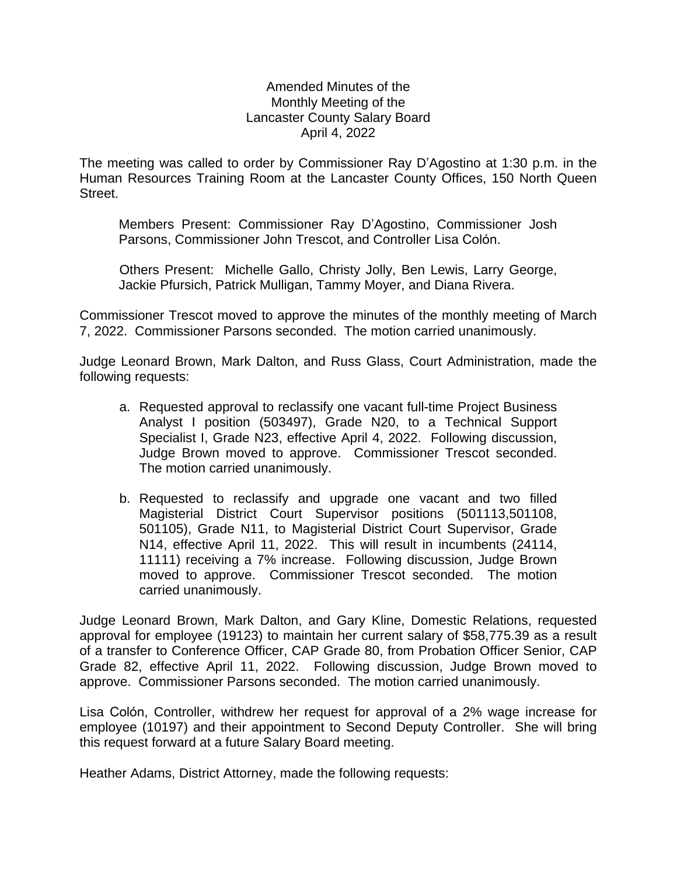## Amended Minutes of the Monthly Meeting of the Lancaster County Salary Board April 4, 2022

The meeting was called to order by Commissioner Ray D'Agostino at 1:30 p.m. in the Human Resources Training Room at the Lancaster County Offices, 150 North Queen Street.

Members Present: Commissioner Ray D'Agostino, Commissioner Josh Parsons, Commissioner John Trescot, and Controller Lisa Colón.

Others Present: Michelle Gallo, Christy Jolly, Ben Lewis, Larry George, Jackie Pfursich, Patrick Mulligan, Tammy Moyer, and Diana Rivera.

Commissioner Trescot moved to approve the minutes of the monthly meeting of March 7, 2022. Commissioner Parsons seconded. The motion carried unanimously.

Judge Leonard Brown, Mark Dalton, and Russ Glass, Court Administration, made the following requests:

- a. Requested approval to reclassify one vacant full-time Project Business Analyst I position (503497), Grade N20, to a Technical Support Specialist I, Grade N23, effective April 4, 2022. Following discussion, Judge Brown moved to approve. Commissioner Trescot seconded. The motion carried unanimously.
- b. Requested to reclassify and upgrade one vacant and two filled Magisterial District Court Supervisor positions (501113,501108, 501105), Grade N11, to Magisterial District Court Supervisor, Grade N14, effective April 11, 2022. This will result in incumbents (24114, 11111) receiving a 7% increase. Following discussion, Judge Brown moved to approve. Commissioner Trescot seconded. The motion carried unanimously.

Judge Leonard Brown, Mark Dalton, and Gary Kline, Domestic Relations, requested approval for employee (19123) to maintain her current salary of \$58,775.39 as a result of a transfer to Conference Officer, CAP Grade 80, from Probation Officer Senior, CAP Grade 82, effective April 11, 2022. Following discussion, Judge Brown moved to approve. Commissioner Parsons seconded. The motion carried unanimously.

Lisa Colón, Controller, withdrew her request for approval of a 2% wage increase for employee (10197) and their appointment to Second Deputy Controller. She will bring this request forward at a future Salary Board meeting.

Heather Adams, District Attorney, made the following requests: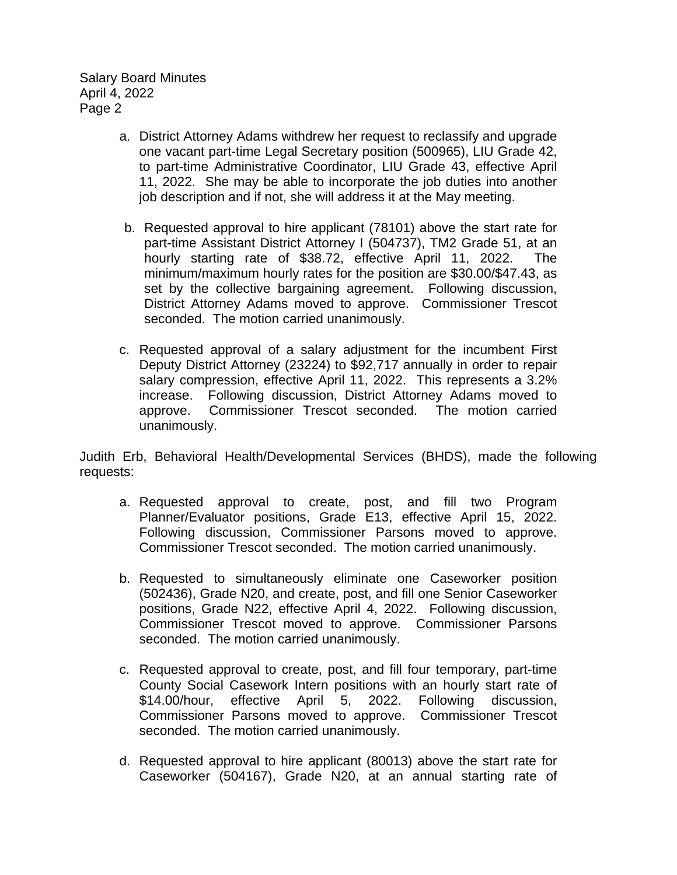- a. District Attorney Adams withdrew her request to reclassify and upgrade one vacant part-time Legal Secretary position (500965), LIU Grade 42, to part-time Administrative Coordinator, LIU Grade 43, effective April 11, 2022. She may be able to incorporate the job duties into another job description and if not, she will address it at the May meeting.
- b. Requested approval to hire applicant (78101) above the start rate for part-time Assistant District Attorney I (504737), TM2 Grade 51, at an hourly starting rate of \$38.72, effective April 11, 2022. The minimum/maximum hourly rates for the position are \$30.00/\$47.43, as set by the collective bargaining agreement. Following discussion, District Attorney Adams moved to approve. Commissioner Trescot seconded. The motion carried unanimously.
- c. Requested approval of a salary adjustment for the incumbent First Deputy District Attorney (23224) to \$92,717 annually in order to repair salary compression, effective April 11, 2022. This represents a 3.2% increase. Following discussion, District Attorney Adams moved to approve. Commissioner Trescot seconded. The motion carried unanimously.

Judith Erb, Behavioral Health/Developmental Services (BHDS), made the following requests:

- a. Requested approval to create, post, and fill two Program Planner/Evaluator positions, Grade E13, effective April 15, 2022. Following discussion, Commissioner Parsons moved to approve. Commissioner Trescot seconded. The motion carried unanimously.
- b. Requested to simultaneously eliminate one Caseworker position (502436), Grade N20, and create, post, and fill one Senior Caseworker positions, Grade N22, effective April 4, 2022. Following discussion, Commissioner Trescot moved to approve. Commissioner Parsons seconded. The motion carried unanimously.
- c. Requested approval to create, post, and fill four temporary, part-time County Social Casework Intern positions with an hourly start rate of \$14.00/hour, effective April 5, 2022. Following discussion, Commissioner Parsons moved to approve. Commissioner Trescot seconded. The motion carried unanimously.
- d. Requested approval to hire applicant (80013) above the start rate for Caseworker (504167), Grade N20, at an annual starting rate of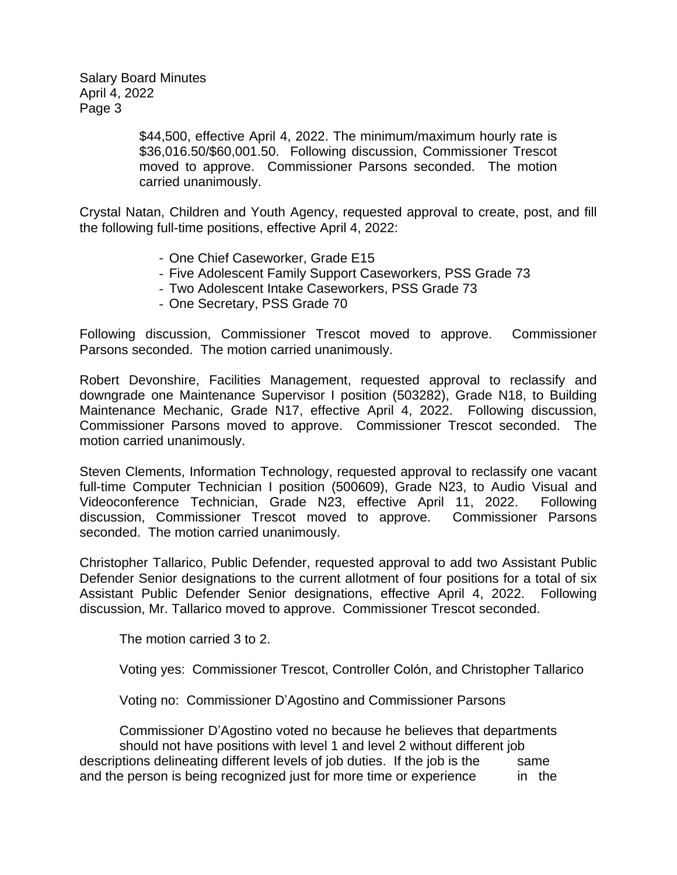> \$44,500, effective April 4, 2022. The minimum/maximum hourly rate is \$36,016.50/\$60,001.50. Following discussion, Commissioner Trescot moved to approve. Commissioner Parsons seconded. The motion carried unanimously.

Crystal Natan, Children and Youth Agency, requested approval to create, post, and fill the following full-time positions, effective April 4, 2022:

- One Chief Caseworker, Grade E15
- Five Adolescent Family Support Caseworkers, PSS Grade 73
- Two Adolescent Intake Caseworkers, PSS Grade 73
- One Secretary, PSS Grade 70

Following discussion, Commissioner Trescot moved to approve. Commissioner Parsons seconded. The motion carried unanimously.

Robert Devonshire, Facilities Management, requested approval to reclassify and downgrade one Maintenance Supervisor I position (503282), Grade N18, to Building Maintenance Mechanic, Grade N17, effective April 4, 2022. Following discussion, Commissioner Parsons moved to approve. Commissioner Trescot seconded. The motion carried unanimously.

Steven Clements, Information Technology, requested approval to reclassify one vacant full-time Computer Technician I position (500609), Grade N23, to Audio Visual and Videoconference Technician, Grade N23, effective April 11, 2022. Following discussion, Commissioner Trescot moved to approve. Commissioner Parsons seconded. The motion carried unanimously.

Christopher Tallarico, Public Defender, requested approval to add two Assistant Public Defender Senior designations to the current allotment of four positions for a total of six Assistant Public Defender Senior designations, effective April 4, 2022. Following discussion, Mr. Tallarico moved to approve. Commissioner Trescot seconded.

The motion carried 3 to 2.

Voting yes: Commissioner Trescot, Controller Colón, and Christopher Tallarico

Voting no: Commissioner D'Agostino and Commissioner Parsons

Commissioner D'Agostino voted no because he believes that departments should not have positions with level 1 and level 2 without different job descriptions delineating different levels of job duties. If the job is the same and the person is being recognized just for more time or experience in the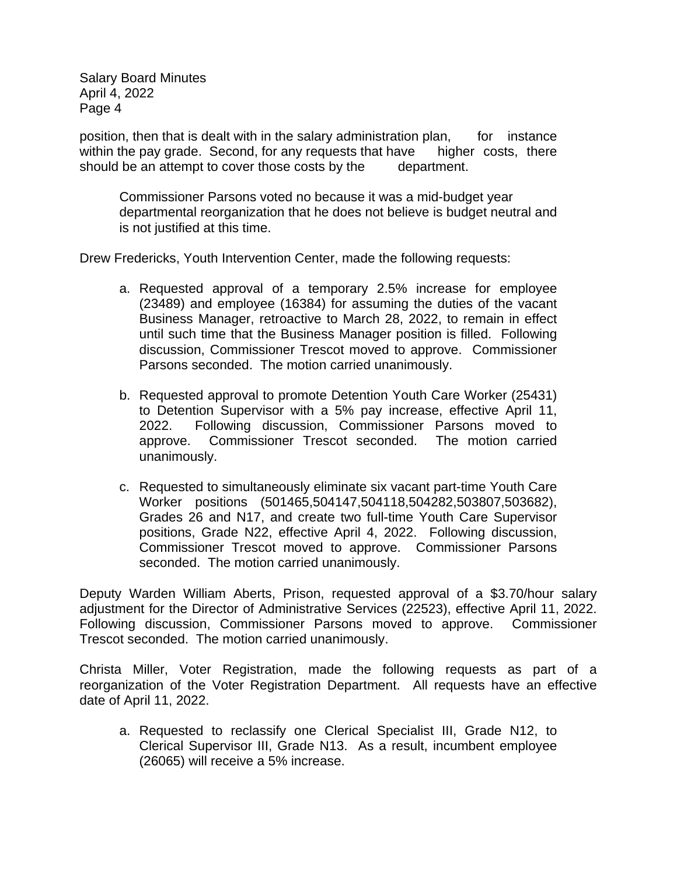position, then that is dealt with in the salary administration plan, for instance within the pay grade. Second, for any requests that have higher costs, there should be an attempt to cover those costs by the department.

Commissioner Parsons voted no because it was a mid-budget year departmental reorganization that he does not believe is budget neutral and is not justified at this time.

Drew Fredericks, Youth Intervention Center, made the following requests:

- a. Requested approval of a temporary 2.5% increase for employee (23489) and employee (16384) for assuming the duties of the vacant Business Manager, retroactive to March 28, 2022, to remain in effect until such time that the Business Manager position is filled. Following discussion, Commissioner Trescot moved to approve. Commissioner Parsons seconded. The motion carried unanimously.
- b. Requested approval to promote Detention Youth Care Worker (25431) to Detention Supervisor with a 5% pay increase, effective April 11, 2022. Following discussion, Commissioner Parsons moved to approve. Commissioner Trescot seconded. The motion carried unanimously.
- c. Requested to simultaneously eliminate six vacant part-time Youth Care Worker positions (501465,504147,504118,504282,503807,503682), Grades 26 and N17, and create two full-time Youth Care Supervisor positions, Grade N22, effective April 4, 2022. Following discussion, Commissioner Trescot moved to approve. Commissioner Parsons seconded. The motion carried unanimously.

Deputy Warden William Aberts, Prison, requested approval of a \$3.70/hour salary adjustment for the Director of Administrative Services (22523), effective April 11, 2022. Following discussion, Commissioner Parsons moved to approve. Commissioner Trescot seconded. The motion carried unanimously.

Christa Miller, Voter Registration, made the following requests as part of a reorganization of the Voter Registration Department. All requests have an effective date of April 11, 2022.

a. Requested to reclassify one Clerical Specialist III, Grade N12, to Clerical Supervisor III, Grade N13. As a result, incumbent employee (26065) will receive a 5% increase.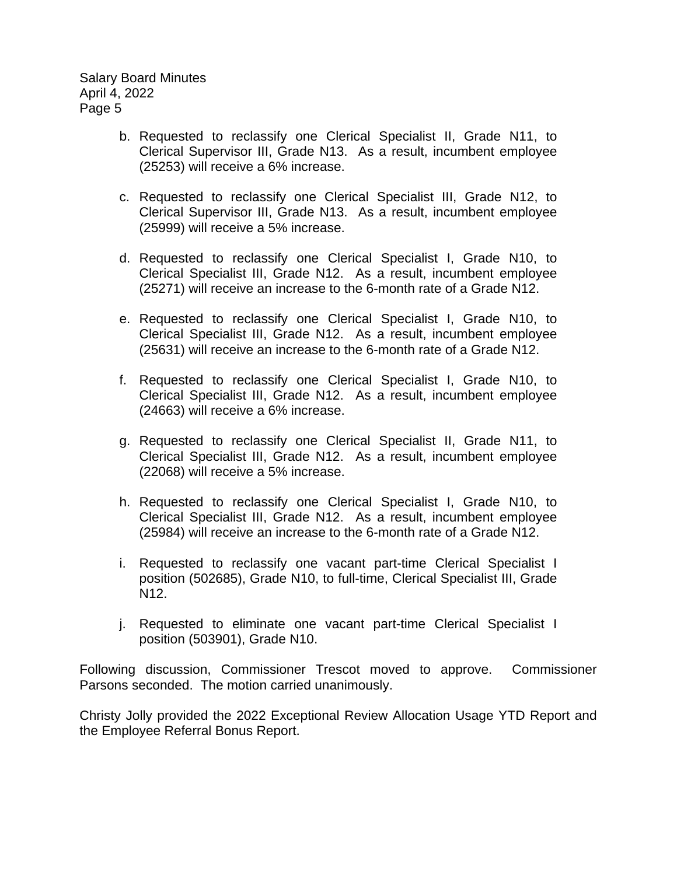- b. Requested to reclassify one Clerical Specialist II, Grade N11, to Clerical Supervisor III, Grade N13. As a result, incumbent employee (25253) will receive a 6% increase.
- c. Requested to reclassify one Clerical Specialist III, Grade N12, to Clerical Supervisor III, Grade N13. As a result, incumbent employee (25999) will receive a 5% increase.
- d. Requested to reclassify one Clerical Specialist I, Grade N10, to Clerical Specialist III, Grade N12. As a result, incumbent employee (25271) will receive an increase to the 6-month rate of a Grade N12.
- e. Requested to reclassify one Clerical Specialist I, Grade N10, to Clerical Specialist III, Grade N12. As a result, incumbent employee (25631) will receive an increase to the 6-month rate of a Grade N12.
- f. Requested to reclassify one Clerical Specialist I, Grade N10, to Clerical Specialist III, Grade N12. As a result, incumbent employee (24663) will receive a 6% increase.
- g. Requested to reclassify one Clerical Specialist II, Grade N11, to Clerical Specialist III, Grade N12. As a result, incumbent employee (22068) will receive a 5% increase.
- h. Requested to reclassify one Clerical Specialist I, Grade N10, to Clerical Specialist III, Grade N12. As a result, incumbent employee (25984) will receive an increase to the 6-month rate of a Grade N12.
- i. Requested to reclassify one vacant part-time Clerical Specialist I position (502685), Grade N10, to full-time, Clerical Specialist III, Grade N12.
- j. Requested to eliminate one vacant part-time Clerical Specialist I position (503901), Grade N10.

Following discussion, Commissioner Trescot moved to approve. Commissioner Parsons seconded. The motion carried unanimously.

Christy Jolly provided the 2022 Exceptional Review Allocation Usage YTD Report and the Employee Referral Bonus Report.